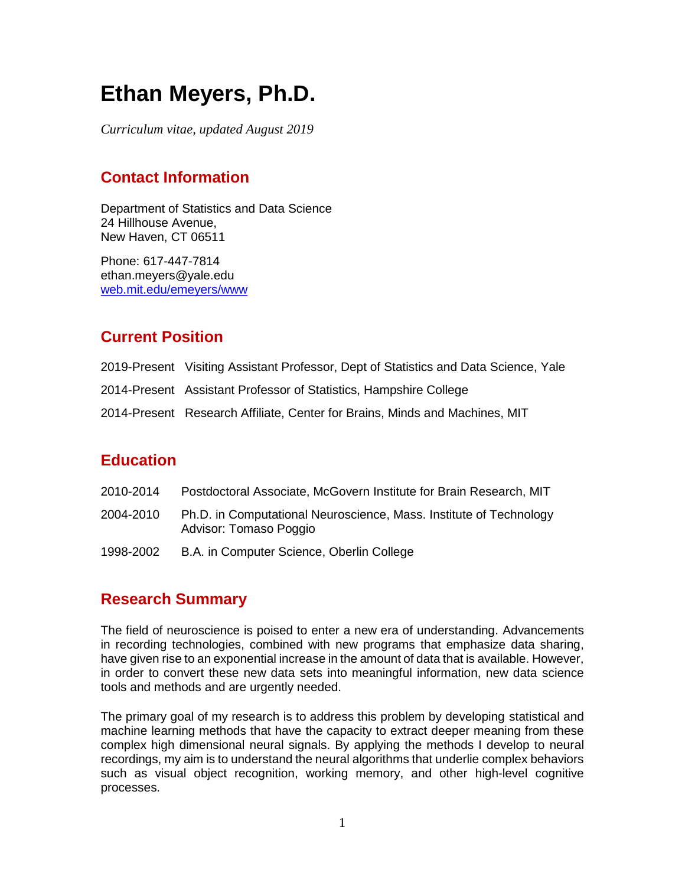# **Ethan Meyers, Ph.D.**

*Curriculum vitae, updated August 2019*

# **Contact Information**

Department of Statistics and Data Science 24 Hillhouse Avenue, New Haven, CT 06511

Phone: 617-447-7814 ethan.meyers@yale.edu [web.mit.edu/emeyers/www](http://web.mit.edu/emeyers/www)

## **Current Position**

- 2019-Present Visiting Assistant Professor, Dept of Statistics and Data Science, Yale
- 2014-Present Assistant Professor of Statistics, Hampshire College
- 2014-Present Research Affiliate, Center for Brains, Minds and Machines, MIT

## **Education**

- 2010-2014 Postdoctoral Associate, McGovern Institute for Brain Research, MIT
- 2004-2010 Ph.D. in Computational Neuroscience, Mass. Institute of Technology Advisor: Tomaso Poggio
- 1998-2002 B.A. in Computer Science, Oberlin College

#### **Research Summary**

The field of neuroscience is poised to enter a new era of understanding. Advancements in recording technologies, combined with new programs that emphasize data sharing, have given rise to an exponential increase in the amount of data that is available. However, in order to convert these new data sets into meaningful information, new data science tools and methods and are urgently needed.

The primary goal of my research is to address this problem by developing statistical and machine learning methods that have the capacity to extract deeper meaning from these complex high dimensional neural signals. By applying the methods I develop to neural recordings, my aim is to understand the neural algorithms that underlie complex behaviors such as visual object recognition, working memory, and other high-level cognitive processes.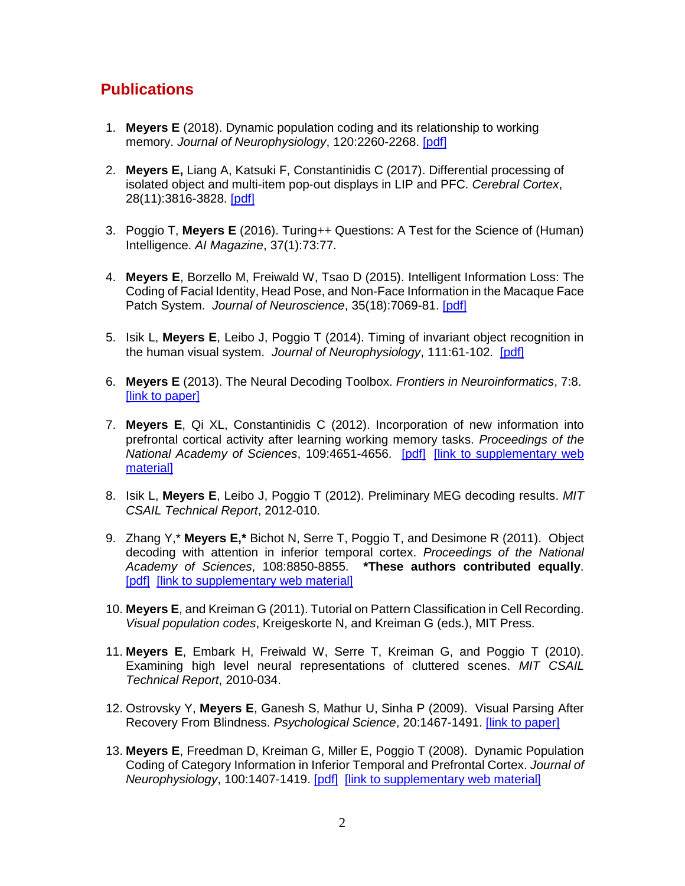## **Publications**

- 1. **Meyers E** (2018). Dynamic population coding and its relationship to working memory. *Journal of Neurophysiology*, 120:2260-2268. [\[pdf\]](http://emeyers.scripts.mit.edu/emeyers/wp-content/uploads/2018/11/Meyers_JNeurophys_2018.pdf)
- 2. **Meyers E,** Liang A, Katsuki F, Constantinidis C (2017). Differential processing of isolated object and multi-item pop-out displays in LIP and PFC. *Cerebral Cortex*, 28(11):3816-3828. [\[pdf\]](http://emeyers.scripts.mit.edu/emeyers/wp-content/uploads/publications/Meyers_Cerebral_Cortex_2017.pdf)
- 3. Poggio T, **Meyers E** (2016). Turing++ Questions: A Test for the Science of (Human) Intelligence. *AI Magazine*, 37(1):73:77.
- 4. **Meyers E**, Borzello M, Freiwald W, Tsao D (2015). Intelligent Information Loss: The Coding of Facial Identity, Head Pose, and Non-Face Information in the Macaque Face Patch System. *Journal of Neuroscience*, 35(18):7069-81. [\[pdf\]](http://emeyers.scripts.mit.edu/emeyers/wp-content/uploads/2015/05/Meyers_JNeurosci_2015.pdf)
- 5. Isik L, **Meyers E**, Leibo J, Poggio T (2014). Timing of invariant object recognition in the human visual system. *Journal of Neurophysiology*, 111:61-102. [\[pdf\]](http://cbcl.mit.edu/publications/ps/Isik_Meyers_JNeurophys_2014.pdf)
- 6. **Meyers E** (2013). The Neural Decoding Toolbox. *Frontiers in Neuroinformatics*, 7:8. [\[link to paper\]](http://journal.frontiersin.org/article/10.3389/fninf.2013.00008/full)
- 7. **Meyers E**, Qi XL, Constantinidis C (2012). Incorporation of new information into prefrontal cortical activity after learning working memory tasks. *Proceedings of the National Academy of Sciences*, 109:4651-4656. [\[pdf\]](http://web.mit.edu/emeyers/www/Meyers_PNAS_2012.pdf) [\[link to supplementary web](http://cbcl.mit.edu/people/emeyers/pnas2012/index.html)  [material\]](http://cbcl.mit.edu/people/emeyers/pnas2012/index.html)
- 8. Isik L, **Meyers E**, Leibo J, Poggio T (2012). Preliminary MEG decoding results. *MIT CSAIL Technical Report*, 2012-010.
- 9. Zhang Y,\* **Meyers E,\*** Bichot N, Serre T, Poggio T, and Desimone R (2011). Object decoding with attention in inferior temporal cortex. *Proceedings of the National Academy of Sciences*, 108:8850-8855. **\*These authors contributed equally**. [\[pdf\]](http://web.mit.edu/emeyers/www/Zhang_Meyers_PNAS_2011.pdf) [\[link to supplementary web material\]](http://cbcl.mit.edu/people/emeyers/pnas2011/index.html)
- 10. **Meyers E**, and Kreiman G (2011). Tutorial on Pattern Classification in Cell Recording. *Visual population codes*, Kreigeskorte N, and Kreiman G (eds.), MIT Press.
- 11. **Meyers E**, Embark H, Freiwald W, Serre T, Kreiman G, and Poggio T (2010). Examining high level neural representations of cluttered scenes. *MIT CSAIL Technical Report*, 2010-034.
- 12. Ostrovsky Y, **Meyers E**, Ganesh S, Mathur U, Sinha P (2009). Visual Parsing After Recovery From Blindness. *Psychological Science*, 20:1467-1491. [\[link to paper\]](http://pss.sagepub.com/content/20/12/1484.full.pdf+html)
- 13. **Meyers E**, Freedman D, Kreiman G, Miller E, Poggio T (2008). Dynamic Population Coding of Category Information in Inferior Temporal and Prefrontal Cortex. *Journal of Neurophysiology*, 100:1407-1419. [\[pdf\]](http://web.mit.edu/emeyers/www/Meyers_2008_JNeurophys.pdf) [\[link to supplementary web material\]](http://cbcl.mit.edu/people/emeyers/jneurophys2008/index.html)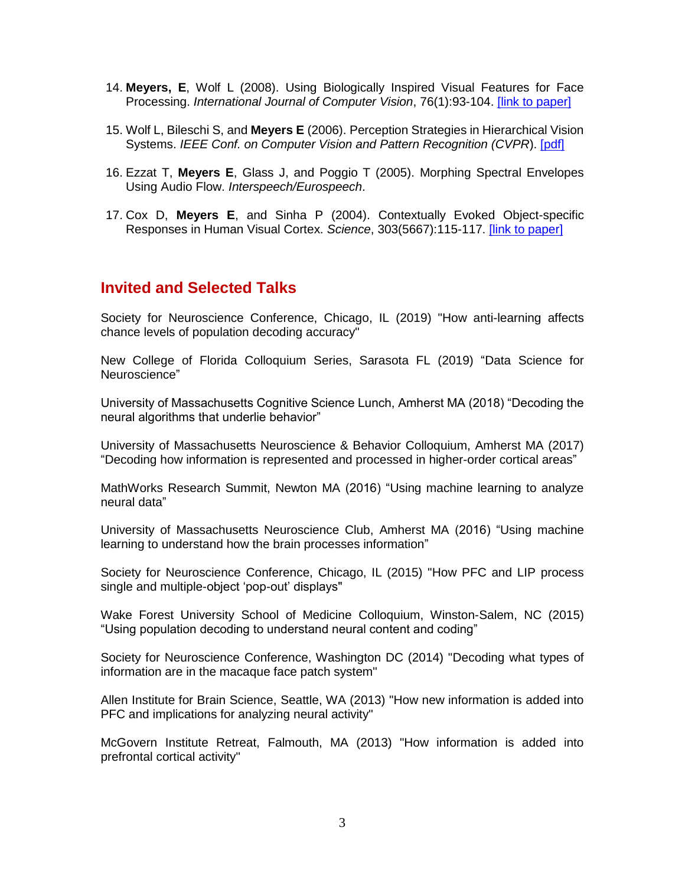- 14. **Meyers, E**, Wolf L (2008). Using Biologically Inspired Visual Features for Face Processing. *International Journal of Computer Vision*, 76(1):93-104. [\[link to paper\]](http://www.springerlink.com/content/x4h4jw8156229l71/)
- 15. Wolf L, Bileschi S, and **Meyers E** (2006). Perception Strategies in Hierarchical Vision Systems. *IEEE Conf. on Computer Vision and Pattern Recognition (CVPR*). [\[pdf\]](http://web.mit.edu/emeyers/www/391_cvpr.pdf)
- 16. Ezzat T, **Meyers E**, Glass J, and Poggio T (2005). Morphing Spectral Envelopes Using Audio Flow. *Interspeech/Eurospeech*.
- 17. Cox D, **Meyers E**, and Sinha P (2004). Contextually Evoked Object-specific Responses in Human Visual Cortex. *Science*, 303(5667):115-117. [\[link to paper\]](http://www.sciencemag.org/cgi/content/full/304/5667/115?ijkey=Hpj7TgdCeG05.&keytype=ref&siteid=sci)

#### **Invited and Selected Talks**

Society for Neuroscience Conference, Chicago, IL (2019) "How anti-learning affects chance levels of population decoding accuracy"

New College of Florida Colloquium Series, Sarasota FL (2019) "Data Science for Neuroscience"

University of Massachusetts Cognitive Science Lunch, Amherst MA (2018) "Decoding the neural algorithms that underlie behavior"

University of Massachusetts Neuroscience & Behavior Colloquium, Amherst MA (2017) "Decoding how information is represented and processed in higher-order cortical areas"

MathWorks Research Summit, Newton MA (2016) "Using machine learning to analyze neural data"

University of Massachusetts Neuroscience Club, Amherst MA (2016) "Using machine learning to understand how the brain processes information"

Society for Neuroscience Conference, Chicago, IL (2015) "How PFC and LIP process single and multiple-object 'pop-out' displays"

Wake Forest University School of Medicine Colloquium, Winston-Salem, NC (2015) "Using population decoding to understand neural content and coding"

Society for Neuroscience Conference, Washington DC (2014) "Decoding what types of information are in the macaque face patch system"

Allen Institute for Brain Science, Seattle, WA (2013) "How new information is added into PFC and implications for analyzing neural activity"

McGovern Institute Retreat, Falmouth, MA (2013) "How information is added into prefrontal cortical activity"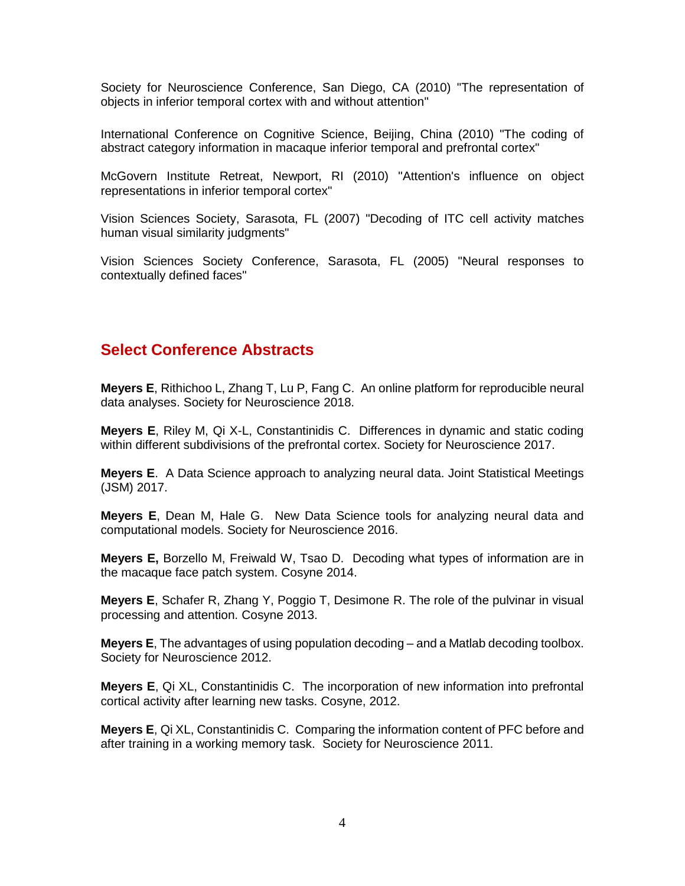Society for Neuroscience Conference, San Diego, CA (2010) "The representation of objects in inferior temporal cortex with and without attention"

International Conference on Cognitive Science, Beijing, China (2010) "The coding of abstract category information in macaque inferior temporal and prefrontal cortex"

McGovern Institute Retreat, Newport, RI (2010) "Attention's influence on object representations in inferior temporal cortex"

Vision Sciences Society, Sarasota, FL (2007) "Decoding of ITC cell activity matches human visual similarity judgments"

Vision Sciences Society Conference, Sarasota, FL (2005) "Neural responses to contextually defined faces"

#### **Select Conference Abstracts**

**Meyers E**, Rithichoo L, Zhang T, Lu P, Fang C. An online platform for reproducible neural data analyses. Society for Neuroscience 2018.

**Meyers E**, Riley M, Qi X-L, Constantinidis C. Differences in dynamic and static coding within different subdivisions of the prefrontal cortex. Society for Neuroscience 2017.

**Meyers E**. A Data Science approach to analyzing neural data. Joint Statistical Meetings (JSM) 2017.

**Meyers E**, Dean M, Hale G. New Data Science tools for analyzing neural data and computational models. Society for Neuroscience 2016.

**Meyers E,** Borzello M, Freiwald W, Tsao D. Decoding what types of information are in the macaque face patch system. Cosyne 2014.

**Meyers E**, Schafer R, Zhang Y, Poggio T, Desimone R. The role of the pulvinar in visual processing and attention. Cosyne 2013.

**Meyers E**, The advantages of using population decoding – and a Matlab decoding toolbox. Society for Neuroscience 2012.

**Meyers E**, Qi XL, Constantinidis C. The incorporation of new information into prefrontal cortical activity after learning new tasks. Cosyne, 2012.

**Meyers E**, Qi XL, Constantinidis C. Comparing the information content of PFC before and after training in a working memory task. Society for Neuroscience 2011.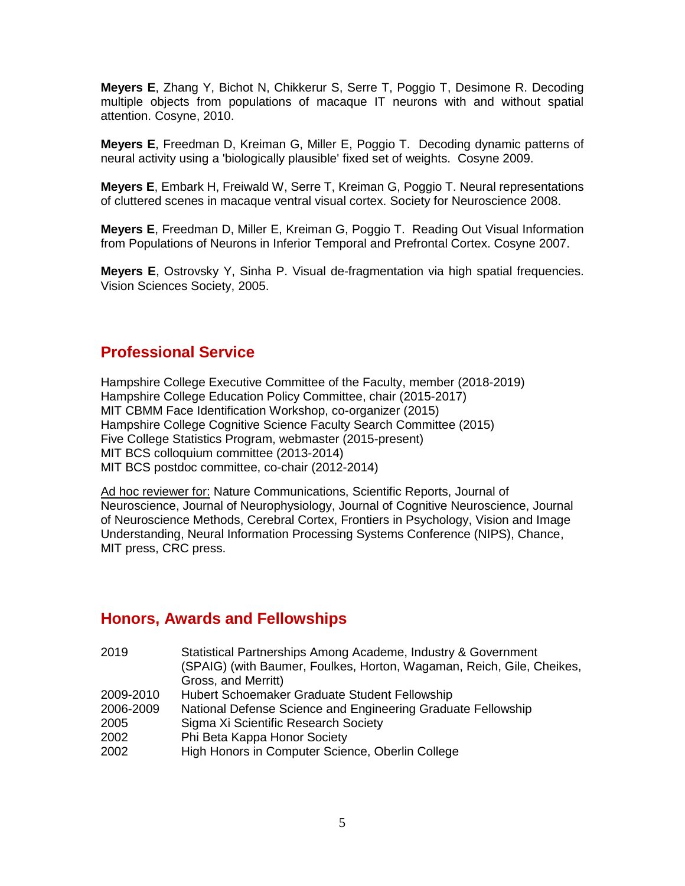**Meyers E**, Zhang Y, Bichot N, Chikkerur S, Serre T, Poggio T, Desimone R. Decoding multiple objects from populations of macaque IT neurons with and without spatial attention. Cosyne, 2010.

**Meyers E**, Freedman D, Kreiman G, Miller E, Poggio T. Decoding dynamic patterns of neural activity using a 'biologically plausible' fixed set of weights. Cosyne 2009.

**Meyers E**, Embark H, Freiwald W, Serre T, Kreiman G, Poggio T. Neural representations of cluttered scenes in macaque ventral visual cortex. Society for Neuroscience 2008.

**Meyers E**, Freedman D, Miller E, Kreiman G, Poggio T. Reading Out Visual Information from Populations of Neurons in Inferior Temporal and Prefrontal Cortex. Cosyne 2007.

**Meyers E**, Ostrovsky Y, Sinha P. Visual de-fragmentation via high spatial frequencies. Vision Sciences Society, 2005.

#### **Professional Service**

Hampshire College Executive Committee of the Faculty, member (2018-2019) Hampshire College Education Policy Committee, chair (2015-2017) MIT CBMM Face Identification Workshop, co-organizer (2015) Hampshire College Cognitive Science Faculty Search Committee (2015) Five College Statistics Program, webmaster (2015-present) MIT BCS colloquium committee (2013-2014) MIT BCS postdoc committee, co-chair (2012-2014)

Ad hoc reviewer for: Nature Communications, Scientific Reports, Journal of Neuroscience, Journal of Neurophysiology, Journal of Cognitive Neuroscience, Journal of Neuroscience Methods, Cerebral Cortex, Frontiers in Psychology, Vision and Image Understanding, Neural Information Processing Systems Conference (NIPS), Chance, MIT press, CRC press.

#### **Honors, Awards and Fellowships**

| 2019<br>Statistical Partnerships Among Academe, Industry & Government     |  |
|---------------------------------------------------------------------------|--|
| (SPAIG) (with Baumer, Foulkes, Horton, Wagaman, Reich, Gile, Cheikes,     |  |
| Gross, and Merritt)                                                       |  |
| Hubert Schoemaker Graduate Student Fellowship<br>2009-2010                |  |
| National Defense Science and Engineering Graduate Fellowship<br>2006-2009 |  |
| Sigma Xi Scientific Research Society<br>2005                              |  |
| Phi Beta Kappa Honor Society<br>2002                                      |  |
| High Honors in Computer Science, Oberlin College<br>2002                  |  |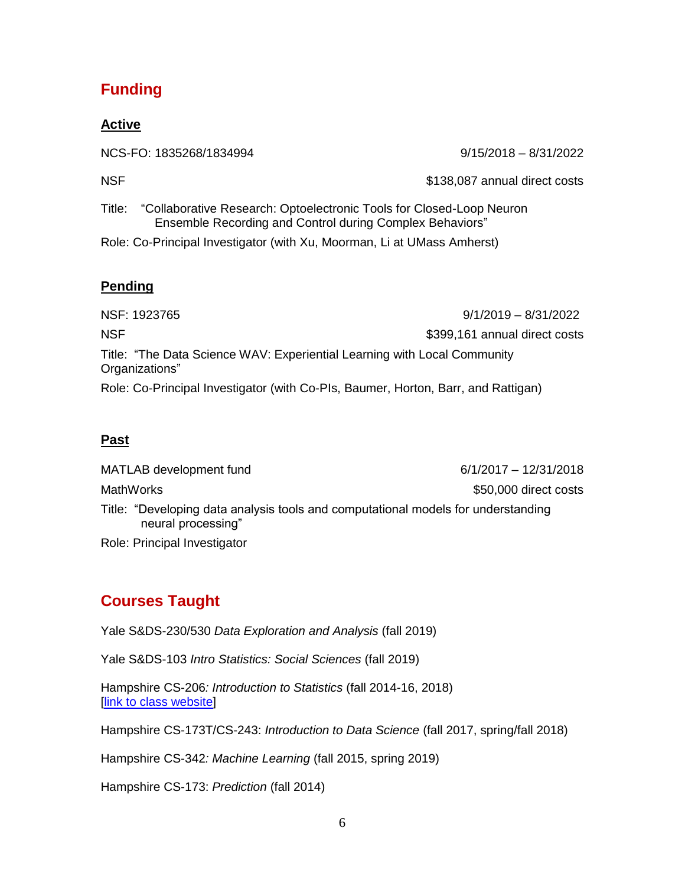### **Funding**

#### **Active**

NCS-FO: 1835268/1834994 9/15/2018 – 8/31/2022

NSF  $$138,087$  annual direct costs

Title: "Collaborative Research: Optoelectronic Tools for Closed-Loop Neuron Ensemble Recording and Control during Complex Behaviors"

Role: Co-Principal Investigator (with Xu, Moorman, Li at UMass Amherst)

#### **Pending**

NSF: 1923765 9/1/2019 – 8/31/2022 NSF  $$399,161$  annual direct costs Title: "The Data Science WAV: Experiential Learning with Local Community Organizations" Role: Co-Principal Investigator (with Co-PIs, Baumer, Horton, Barr, and Rattigan)

#### **Past**

MATLAB development fund 6/1/2017 – 12/31/2018 MathWorks **but a struck of the struck of the struck of the struck of the struck of the struck of the struck of the struck of the struck of the struck of the struck of the struck of the struck of the struck of the struck of** Title: "Developing data analysis tools and computational models for understanding neural processing" Role: Principal Investigator

# **Courses Taught**

Yale S&DS-230/530 *Data Exploration and Analysis* (fall 2019)

Yale S&DS-103 *Intro Statistics: Social Sciences* (fall 2019)

Hampshire CS-206*: Introduction to Statistics* (fall 2014-16, 2018) [\[link to class website\]](http://emeyers.scripts.mit.edu/emeyers/teaching/cs-0206-introduction-to-statistics/)

Hampshire CS-173T/CS-243: *Introduction to Data Science* (fall 2017, spring/fall 2018)

Hampshire CS-342*: Machine Learning* (fall 2015, spring 2019)

Hampshire CS-173: *Prediction* (fall 2014)